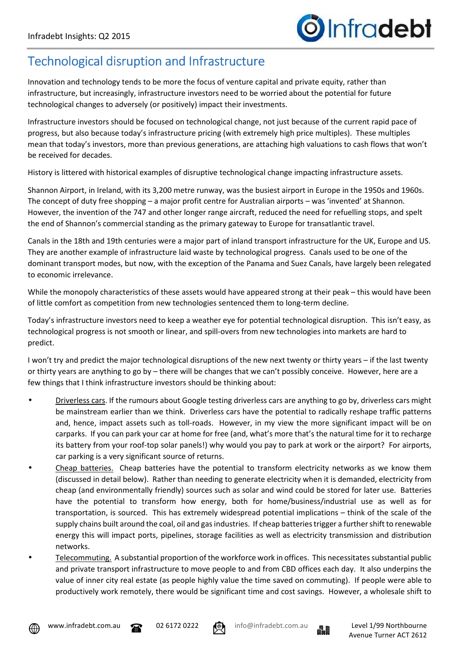## Technological disruption and Infrastructure

Innovation and technology tends to be more the focus of venture capital and private equity, rather than infrastructure, but increasingly, infrastructure investors need to be worried about the potential for future technological changes to adversely (or positively) impact their investments.

Infrastructure investors should be focused on technological change, not just because of the current rapid pace of progress, but also because today's infrastructure pricing (with extremely high price multiples). These multiples mean that today's investors, more than previous generations, are attaching high valuations to cash flows that won't be received for decades.

History is littered with historical examples of disruptive technological change impacting infrastructure assets.

Shannon Airport, in Ireland, with its 3,200 metre runway, was the busiest airport in Europe in the 1950s and 1960s. The concept of duty free shopping – a major profit centre for Australian airports – was 'invented' at Shannon. However, the invention of the 747 and other longer range aircraft, reduced the need for refuelling stops, and spelt the end of Shannon's commercial standing as the primary gateway to Europe for transatlantic travel.

Canals in the 18th and 19th centuries were a major part of inland transport infrastructure for the UK, Europe and US. They are another example of infrastructure laid waste by technological progress. Canals used to be one of the dominant transport modes, but now, with the exception of the Panama and Suez Canals, have largely been relegated to economic irrelevance.

While the monopoly characteristics of these assets would have appeared strong at their peak – this would have been of little comfort as competition from new technologies sentenced them to long-term decline.

Today's infrastructure investors need to keep a weather eye for potential technological disruption. This isn't easy, as technological progress is not smooth or linear, and spill-overs from new technologies into markets are hard to predict.

I won't try and predict the major technological disruptions of the new next twenty or thirty years – if the last twenty or thirty years are anything to go by – there will be changes that we can't possibly conceive. However, here are a few things that I think infrastructure investors should be thinking about:

- Driverless cars. If the rumours about Google testing driverless cars are anything to go by, driverless cars might be mainstream earlier than we think. Driverless cars have the potential to radically reshape traffic patterns and, hence, impact assets such as toll-roads. However, in my view the more significant impact will be on carparks. If you can park your car at home for free (and, what's more that's the natural time for it to recharge its battery from your roof-top solar panels!) why would you pay to park at work or the airport? For airports, car parking is a very significant source of returns.
- Cheap batteries. Cheap batteries have the potential to transform electricity networks as we know them (discussed in detail below). Rather than needing to generate electricity when it is demanded, electricity from cheap (and environmentally friendly) sources such as solar and wind could be stored for later use. Batteries have the potential to transform how energy, both for home/business/industrial use as well as for transportation, is sourced. This has extremely widespread potential implications – think of the scale of the supply chains built around the coal, oil and gas industries. If cheap batteries trigger a further shift to renewable energy this will impact ports, pipelines, storage facilities as well as electricity transmission and distribution networks.
- Telecommuting. A substantial proportion of the workforce work in offices. This necessitates substantial public and private transport infrastructure to move people to and from CBD offices each day. It also underpins the value of inner city real estate (as people highly value the time saved on commuting). If people were able to productively work remotely, there would be significant time and cost savings. However, a wholesale shift to